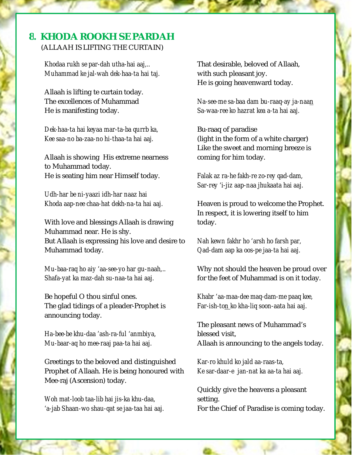## **8. KHODA ROOKH SE PARDAH**

(ALLAAH IS LIFTING THE CURTAIN)

*Khodaa rukh se par-dah utha-hai aaj,.. Muhammad ke jal-wah dek-haa-ta hai taj.* 

Allaah is lifting te curtain today. The excellences of Muhammad He is manifesting today.

*Dek-haa-ta hai keyaa mar-ta-ba qurrb ka, Kee saa-no ba-zaa-no hi-thaa-ta hai aaj.* 

Allaah is showing His extreme nearness to Muhammad today. He is seating him near Himself today.

*Udh-har be ni-yaazi idh-har naaz hai Khoda aap-nee chaa-hat dekh-na-ta hai aaj.*

With love and blessings Allaah is drawing Muhammad near. He is shy. But Allaah is expressing his love and desire to Muhammad today.

*Mu-baa-raq ho aiy 'aa-see-yo har gu-naah,.. Shafa-yat ka maz-dah su-naa-ta hai aaj.* 

Be hopeful O thou sinful ones. The glad tidings of a pleader-Prophet is announcing today.

*Ha-bee-be khu-daa 'ash-ra-ful 'anmbiya, Mu-baar-aq ho mee-raaj paa-ta hai aaj.* 

Greetings to the beloved and distinguished Prophet of Allaah. He is being honoured with Mee-raj (Ascension) today.

*Woh mat-loob taa-lib hai jis-ka khu-daa, 'a-jab Shaan-wo shau-qat se jaa-taa hai aaj.*  That desirable, beloved of Allaah, with such pleasant joy. He is going heavenward today.

*Na-see-me sa-baa dam bu-raaq-ay ja-naan Sa-waa-ree ko hazrat kea a-ta hai aaj.* 

Bu-raaq of paradise (light in the form of a white charger) Like the sweet and morning breeze is coming for him today.

*Falak az ra-he fakh-re zo-rey qad-dam, Sar-rey 'i-jiz aap-naa jhukaata hai aaj.* 

Heaven is proud to welcome the Prophet. In respect, it is lowering itself to him today.

*Nah kewn fakhr ho 'arsh ho farsh par, Qad-dam aap ka oos-pe jaa-ta hai aaj.* 

Why not should the heaven be proud over for the feet of Muhammad is on it today.

*Khabr 'aa-maa-dee maq-dam-me paaq kee, Far-ish-ton ko kha-liq soon-aata hai aaj.* 

The pleasant news of Muhammad's blessed visit, Allaah is announcing to the angels today.

*Kar-ro khuld ko jald aa-raas-ta, Ke sar-daar-e jan-nat ka aa-ta hai aaj.* 

Quickly give the heavens a pleasant setting. For the Chief of Paradise is coming today.